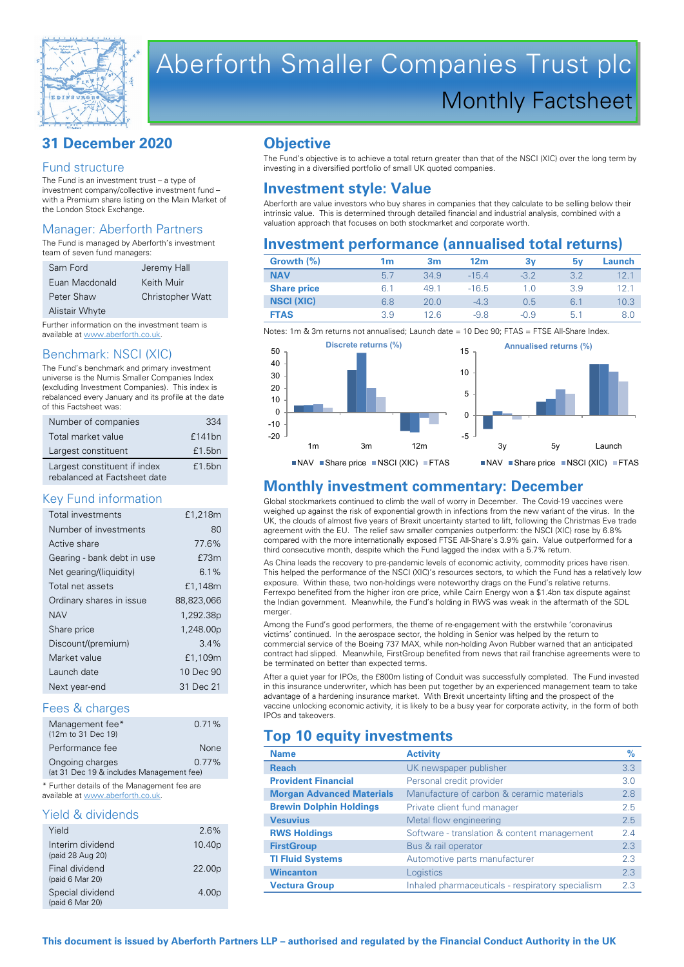

# Aberforth Smaller Companies Trust plc Monthly Factsheet

# **31 December 2020**

#### Fund structure

The Fund is an investment trust – a type of investment company/collective investment fund – with a Premium share listing on the Main Market of the London Stock Exchange.

## Manager: Aberforth Partners

The Fund is managed by Aberforth's investment team of seven fund managers:

| Sam Ford              | Jeremy Hall             |
|-----------------------|-------------------------|
| Euan Macdonald        | Keith Muir              |
| Peter Shaw            | <b>Christopher Watt</b> |
| <b>Alistair Whyte</b> |                         |

Further information on the investment team is available at www.aberforth.co.uk.

#### Benchmark: NSCI (XIC)

The Fund's benchmark and primary investment universe is the Numis Smaller Companies Index (excluding Investment Companies). This index is rebalanced every January and its profile at the date of this Factsheet was:

| Number of companies                                          | 334    |
|--------------------------------------------------------------|--------|
| Total market value                                           | £141bn |
| Largest constituent                                          | £1.5bn |
| Largest constituent if index<br>rebalanced at Factsheet date | £1.5bn |

#### Key Fund information

| Total investments          | £1,218m    |
|----------------------------|------------|
| Number of investments      | 80         |
| Active share               | 77.6%      |
| Gearing - bank debt in use | £73m       |
| Net gearing/(liquidity)    | 6.1%       |
| Total net assets           | £1,148m    |
| Ordinary shares in issue   | 88,823,066 |
| <b>NAV</b>                 | 1,292.38p  |
| Share price                | 1,248.00p  |
| Discount/(premium)         | 34%        |
| Market value               | £1,109m    |
| Launch date                | 10 Dec 90  |
| Next year-end              | 31 Dec 21  |
|                            |            |

#### Fees & charges

| Management fee*                          | 0.71%    |
|------------------------------------------|----------|
| (12m to 31 Dec 19)                       |          |
| Performance fee                          | None     |
| Ongoing charges                          | $0.77\%$ |
| (at 31 Dec 19 & includes Management fee) |          |

\* Further details of the Management fee are available at www.aberforth.co.uk.

#### Yield & dividends

| Yield                                | 2.6%               |
|--------------------------------------|--------------------|
| Interim dividend<br>(paid 28 Aug 20) | 10.40 <sub>p</sub> |
| Final dividend<br>(paid 6 Mar 20)    | 22.00p             |
| Special dividend<br>(paid 6 Mar 20)  | 4.00 <sub>p</sub>  |

# **Objective**

The Fund's objective is to achieve a total return greater than that of the NSCI (XIC) over the long term by investing in a diversified portfolio of small UK quoted companies.

# **Investment style: Value**

Aberforth are value investors who buy shares in companies that they calculate to be selling below their intrinsic value. This is determined through detailed financial and industrial analysis, combined with a valuation approach that focuses on both stockmarket and corporate worth.

# **Investment performance (annualised total returns)**

| Growth (%)         | 1m  | 3m   | 12 <sub>m</sub> | 3v     | 5۷  | Launch |
|--------------------|-----|------|-----------------|--------|-----|--------|
| <b>NAV</b>         | 5.7 | 34.9 | $-15.4$         | $-3.2$ | 3.2 | 12.1   |
| <b>Share price</b> | 6.1 | 49.1 | $-16.5$         | 1.0    | 3.9 | 12.1   |
| <b>NSCI (XIC)</b>  | 6.8 | 20.0 | $-4.3$          | 0.5    | 6.1 | 10.3   |
| <b>FTAS</b>        | 3.9 | 126  | $-98$           | $-0.9$ | 5.1 | 8.0    |

Notes: 1m & 3m returns not annualised; Launch date = 10 Dec 90; FTAS = FTSE All-Share Index



# **Monthly investment commentary: December**

Global stockmarkets continued to climb the wall of worry in December. The Covid-19 vaccines were weighed up against the risk of exponential growth in infections from the new variant of the virus. In the UK, the clouds of almost five years of Brexit uncertainty started to lift, following the Christmas Eve trade agreement with the EU. The relief saw smaller companies outperform: the NSCI (XIC) rose by 6.8% compared with the more internationally exposed FTSE All-Share's 3.9% gain. Value outperformed for a third consecutive month, despite which the Fund lagged the index with a 5.7% return.

As China leads the recovery to pre-pandemic levels of economic activity, commodity prices have risen. This helped the performance of the NSCI (XIC)'s resources sectors, to which the Fund has a relatively low exposure. Within these, two non-holdings were noteworthy drags on the Fund's relative returns. Ferrexpo benefited from the higher iron ore price, while Cairn Energy won a \$1.4bn tax dispute against the Indian government. Meanwhile, the Fund's holding in RWS was weak in the aftermath of the SDL merger

Among the Fund's good performers, the theme of re-engagement with the erstwhile 'coronavirus victims' continued. In the aerospace sector, the holding in Senior was helped by the return to commercial service of the Boeing 737 MAX, while non-holding Avon Rubber warned that an anticipated contract had slipped. Meanwhile, FirstGroup benefited from news that rail franchise agreements were to be terminated on better than expected terms.

After a quiet year for IPOs, the £800m listing of Conduit was successfully completed. The Fund invested in this insurance underwriter, which has been put together by an experienced management team to take advantage of a hardening insurance market. With Brexit uncertainty lifting and the prospect of the vaccine unlocking economic activity, it is likely to be a busy year for corporate activity, in the form of both IPOs and takeovers.

# **Top 10 equity investments**

| <b>Name</b>                      | <b>Activity</b>                                  | %   |
|----------------------------------|--------------------------------------------------|-----|
| <b>Reach</b>                     | UK newspaper publisher                           | 3.3 |
| <b>Provident Financial</b>       | Personal credit provider                         | 3.0 |
| <b>Morgan Advanced Materials</b> | Manufacture of carbon & ceramic materials        | 2.8 |
| <b>Brewin Dolphin Holdings</b>   | Private client fund manager                      | 2.5 |
| <b>Vesuvius</b>                  | Metal flow engineering                           | 2.5 |
| <b>RWS Holdings</b>              | Software - translation & content management      | 2.4 |
| <b>FirstGroup</b>                | Bus & rail operator                              | 2.3 |
| <b>TI Fluid Systems</b>          | Automotive parts manufacturer                    | 2.3 |
| <b>Wincanton</b>                 | Logistics                                        | 2.3 |
| <b>Vectura Group</b>             | Inhaled pharmaceuticals - respiratory specialism | 23  |